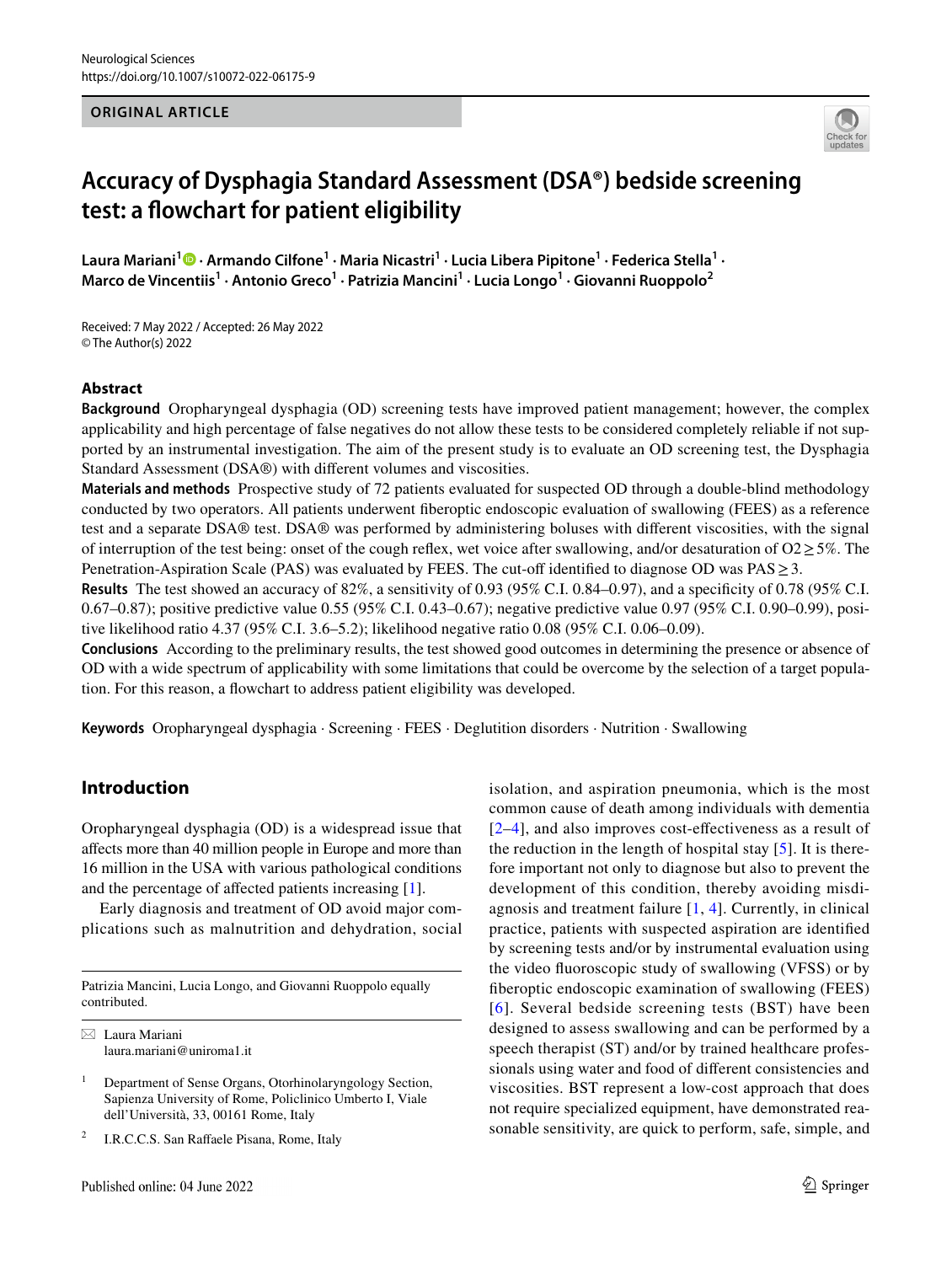#### **ORIGINAL ARTICLE**



# **Accuracy of Dysphagia Standard Assessment (DSA®) bedside screening test: a fowchart for patient eligibility**

Laura Mariani<sup>1</sup> <sup>1</sup> [·](http://orcid.org/0000-0001-6288-8373) Armando Cilfone<sup>1</sup> · Maria Nicastri<sup>1</sup> · Lucia Libera Pipitone<sup>1</sup> · Federica Stella<sup>1</sup> · Marco de Vincentiis<sup>1</sup> · Antonio Greco<sup>1</sup> · Patrizia Mancini<sup>1</sup> · Lucia Longo<sup>1</sup> · Giovanni Ruoppolo<sup>2</sup>

Received: 7 May 2022 / Accepted: 26 May 2022 © The Author(s) 2022

#### **Abstract**

**Background** Oropharyngeal dysphagia (OD) screening tests have improved patient management; however, the complex applicability and high percentage of false negatives do not allow these tests to be considered completely reliable if not supported by an instrumental investigation. The aim of the present study is to evaluate an OD screening test, the Dysphagia Standard Assessment (DSA®) with diferent volumes and viscosities.

**Materials and methods** Prospective study of 72 patients evaluated for suspected OD through a double-blind methodology conducted by two operators. All patients underwent fberoptic endoscopic evaluation of swallowing (FEES) as a reference test and a separate DSA® test. DSA® was performed by administering boluses with diferent viscosities, with the signal of interruption of the test being: onset of the cough reflex, wet voice after swallowing, and/or desaturation of  $O2 \ge 5\%$ . The Penetration-Aspiration Scale (PAS) was evaluated by FEES. The cut-of identifed to diagnose OD was PAS≥3.

**Results** The test showed an accuracy of 82%, a sensitivity of 0.93 (95% C.I. 0.84–0.97), and a specificity of 0.78 (95% C.I. 0.67–0.87); positive predictive value 0.55 (95% C.I. 0.43–0.67); negative predictive value 0.97 (95% C.I. 0.90–0.99), positive likelihood ratio 4.37 (95% C.I. 3.6–5.2); likelihood negative ratio 0.08 (95% C.I. 0.06–0.09).

**Conclusions** According to the preliminary results, the test showed good outcomes in determining the presence or absence of OD with a wide spectrum of applicability with some limitations that could be overcome by the selection of a target population. For this reason, a fowchart to address patient eligibility was developed.

**Keywords** Oropharyngeal dysphagia · Screening · FEES · Deglutition disorders · Nutrition · Swallowing

### **Introduction**

 Oropharyngeal dysphagia (OD) is a widespread issue that afects more than 40 million people in Europe and more than 16 million in the USA with various pathological conditions and the percentage of afected patients increasing [[1\]](#page-7-0).

Early diagnosis and treatment of OD avoid major complications such as malnutrition and dehydration, social

Patrizia Mancini, Lucia Longo, and Giovanni Ruoppolo equally contributed.

 $\boxtimes$  Laura Mariani laura.mariani@uniroma1.it

I.R.C.C.S. San Raffaele Pisana, Rome, Italy

isolation, and aspiration pneumonia, which is the most common cause of death among individuals with dementia [[2–](#page-7-1)[4](#page-7-2)], and also improves cost-efectiveness as a result of the reduction in the length of hospital stay  $[5]$  $[5]$ . It is therefore important not only to diagnose but also to prevent the development of this condition, thereby avoiding misdiagnosis and treatment failure [\[1](#page-7-0), [4\]](#page-7-2). Currently, in clinical practice, patients with suspected aspiration are identifed by screening tests and/or by instrumental evaluation using the video fuoroscopic study of swallowing (VFSS) or by fberoptic endoscopic examination of swallowing (FEES) [[6](#page-7-4)]. Several bedside screening tests (BST) have been designed to assess swallowing and can be performed by a speech therapist (ST) and/or by trained healthcare professionals using water and food of diferent consistencies and viscosities. BST represent a low-cost approach that does not require specialized equipment, have demonstrated reasonable sensitivity, are quick to perform, safe, simple, and

<sup>&</sup>lt;sup>1</sup> Department of Sense Organs, Otorhinolaryngology Section, Sapienza University of Rome, Policlinico Umberto I, Viale dell'Università, 33, 00161 Rome, Italy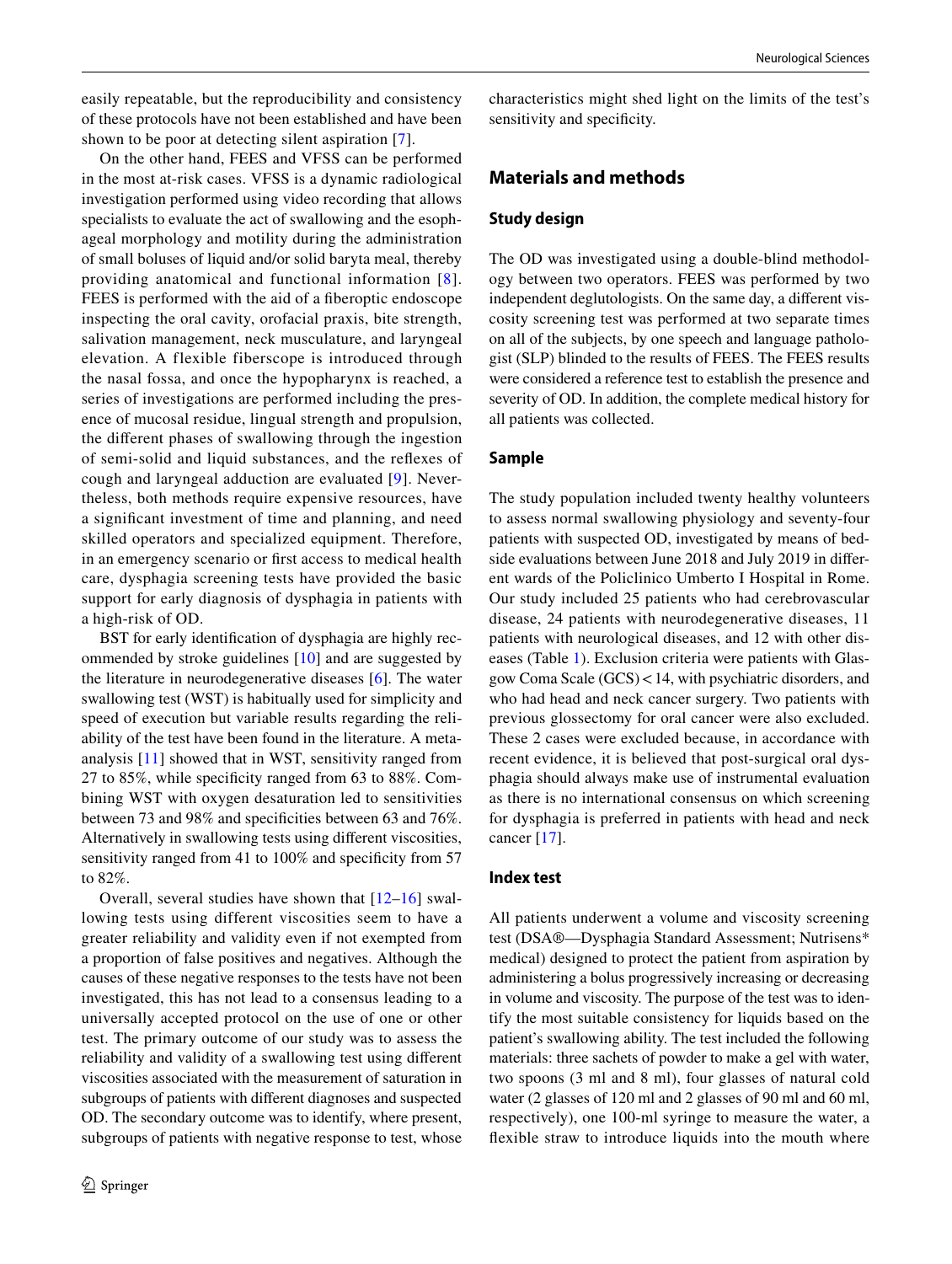easily repeatable, but the reproducibility and consistency of these protocols have not been established and have been shown to be poor at detecting silent aspiration [[7](#page-7-5)].

On the other hand, FEES and VFSS can be performed in the most at-risk cases. VFSS is a dynamic radiological investigation performed using video recording that allows specialists to evaluate the act of swallowing and the esophageal morphology and motility during the administration of small boluses of liquid and/or solid baryta meal, thereby providing anatomical and functional information [\[8\]](#page-7-6). FEES is performed with the aid of a fberoptic endoscope inspecting the oral cavity, orofacial praxis, bite strength, salivation management, neck musculature, and laryngeal elevation. A flexible fiberscope is introduced through the nasal fossa, and once the hypopharynx is reached, a series of investigations are performed including the presence of mucosal residue, lingual strength and propulsion, the diferent phases of swallowing through the ingestion of semi-solid and liquid substances, and the refexes of cough and laryngeal adduction are evaluated [[9\]](#page-7-7). Nevertheless, both methods require expensive resources, have a signifcant investment of time and planning, and need skilled operators and specialized equipment. Therefore, in an emergency scenario or frst access to medical health care, dysphagia screening tests have provided the basic support for early diagnosis of dysphagia in patients with a high-risk of OD.

BST for early identifcation of dysphagia are highly recommended by stroke guidelines [\[10](#page-7-8)] and are suggested by the literature in neurodegenerative diseases [\[6](#page-7-4)]. The water swallowing test (WST) is habitually used for simplicity and speed of execution but variable results regarding the reliability of the test have been found in the literature. A metaanalysis [[11\]](#page-7-9) showed that in WST, sensitivity ranged from 27 to 85%, while specifcity ranged from 63 to 88%. Combining WST with oxygen desaturation led to sensitivities between 73 and 98% and specifcities between 63 and 76%. Alternatively in swallowing tests using diferent viscosities, sensitivity ranged from 41 to 100% and specificity from 57 to 82%.

Overall, several studies have shown that  $[12-16]$  $[12-16]$  $[12-16]$  $[12-16]$  swallowing tests using different viscosities seem to have a greater reliability and validity even if not exempted from a proportion of false positives and negatives. Although the causes of these negative responses to the tests have not been investigated, this has not lead to a consensus leading to a universally accepted protocol on the use of one or other test. The primary outcome of our study was to assess the reliability and validity of a swallowing test using diferent viscosities associated with the measurement of saturation in subgroups of patients with diferent diagnoses and suspected OD. The secondary outcome was to identify, where present, subgroups of patients with negative response to test, whose characteristics might shed light on the limits of the test's sensitivity and specificity.

### **Materials and methods**

#### **Study design**

The OD was investigated using a double-blind methodology between two operators. FEES was performed by two independent deglutologists. On the same day, a diferent viscosity screening test was performed at two separate times on all of the subjects, by one speech and language pathologist (SLP) blinded to the results of FEES. The FEES results were considered a reference test to establish the presence and severity of OD. In addition, the complete medical history for all patients was collected.

#### **Sample**

The study population included twenty healthy volunteers to assess normal swallowing physiology and seventy-four patients with suspected OD, investigated by means of bedside evaluations between June 2018 and July 2019 in diferent wards of the Policlinico Umberto I Hospital in Rome. Our study included 25 patients who had cerebrovascular disease, 24 patients with neurodegenerative diseases, 11 patients with neurological diseases, and 12 with other diseases (Table [1](#page-2-0)). Exclusion criteria were patients with Glasgow Coma Scale (GCS)<14, with psychiatric disorders, and who had head and neck cancer surgery. Two patients with previous glossectomy for oral cancer were also excluded. These 2 cases were excluded because, in accordance with recent evidence, it is believed that post-surgical oral dysphagia should always make use of instrumental evaluation as there is no international consensus on which screening for dysphagia is preferred in patients with head and neck cancer [\[17](#page-7-12)].

#### **Index test**

All patients underwent a volume and viscosity screening test (DSA®—Dysphagia Standard Assessment; Nutrisens\* medical) designed to protect the patient from aspiration by administering a bolus progressively increasing or decreasing in volume and viscosity. The purpose of the test was to identify the most suitable consistency for liquids based on the patient's swallowing ability. The test included the following materials: three sachets of powder to make a gel with water, two spoons (3 ml and 8 ml), four glasses of natural cold water (2 glasses of 120 ml and 2 glasses of 90 ml and 60 ml, respectively), one 100-ml syringe to measure the water, a fexible straw to introduce liquids into the mouth where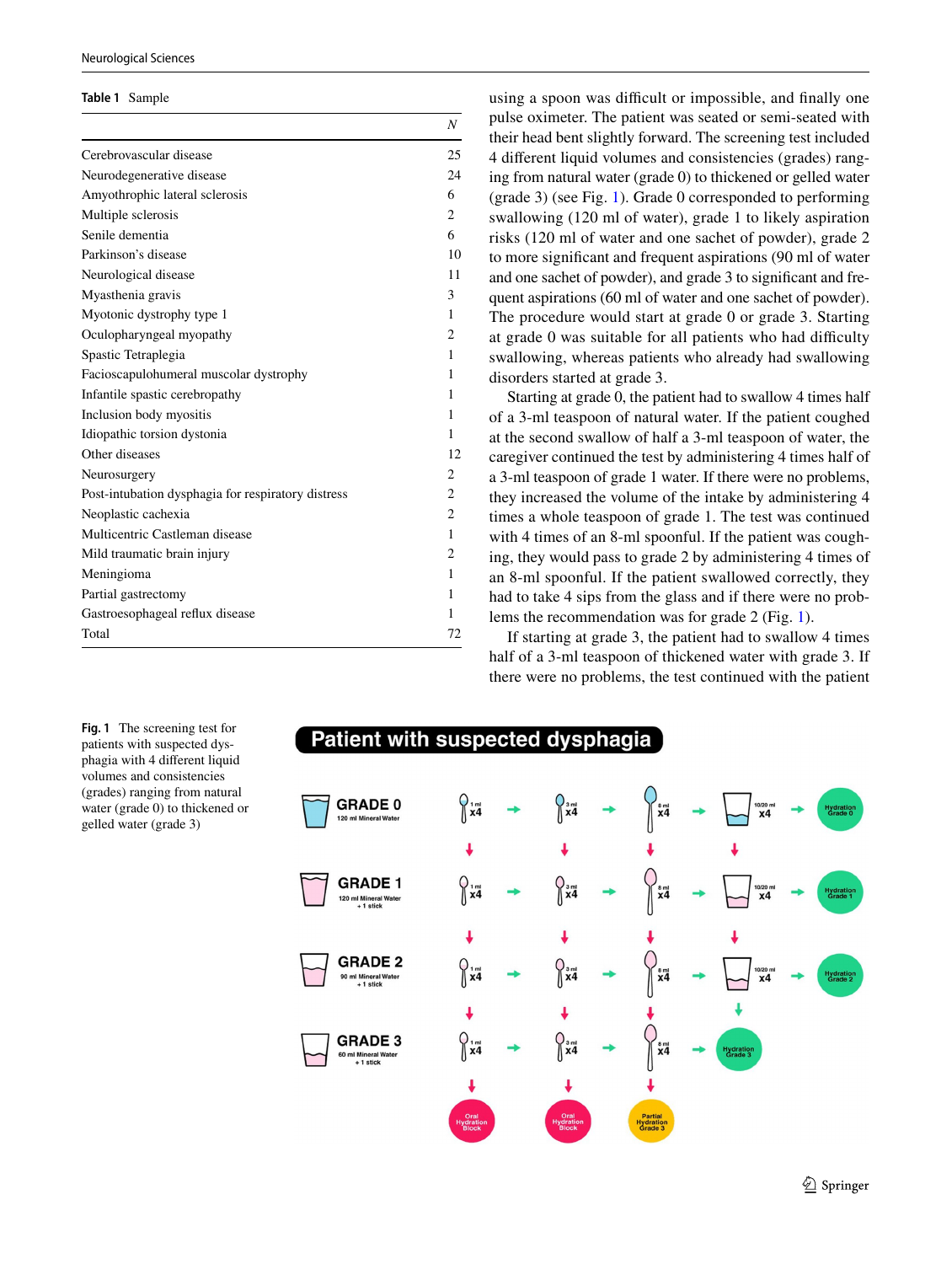#### Neurological Sciences

#### <span id="page-2-0"></span>**Table 1** Sample

|                                                    | Ν              |
|----------------------------------------------------|----------------|
| Cerebrovascular disease                            | 25             |
| Neurodegenerative disease                          | 24             |
| Amyothrophic lateral sclerosis                     | 6              |
| Multiple sclerosis                                 | 2              |
| Senile dementia                                    | 6              |
| Parkinson's disease                                | 10             |
| Neurological disease                               | 11             |
| Myasthenia gravis                                  | 3              |
| Myotonic dystrophy type 1                          | 1              |
| Oculopharyngeal myopathy                           | 2              |
| Spastic Tetraplegia                                | 1              |
| Facioscapulohumeral muscolar dystrophy             | 1              |
| Infantile spastic cerebropathy                     | 1              |
| Inclusion body myositis                            | 1              |
| Idiopathic torsion dystonia                        | 1              |
| Other diseases                                     | 12             |
| Neurosurgery                                       | 2              |
| Post-intubation dysphagia for respiratory distress | 2              |
| Neoplastic cachexia                                | $\overline{c}$ |
| Multicentric Castleman disease                     | 1              |
| Mild traumatic brain injury                        | 2              |
| Meningioma                                         | 1              |
| Partial gastrectomy                                | 1              |
| Gastroesophageal reflux disease                    | 1              |
| Total                                              | 72             |
|                                                    |                |

using a spoon was difficult or impossible, and finally one pulse oximeter. The patient was seated or semi-seated with their head bent slightly forward. The screening test included 4 diferent liquid volumes and consistencies (grades) ranging from natural water (grade 0) to thickened or gelled water (grade 3) (see Fig. [1\)](#page-2-1). Grade 0 corresponded to performing swallowing (120 ml of water), grade 1 to likely aspiration risks (120 ml of water and one sachet of powder), grade 2 to more signifcant and frequent aspirations (90 ml of water and one sachet of powder), and grade 3 to signifcant and frequent aspirations (60 ml of water and one sachet of powder). The procedure would start at grade 0 or grade 3. Starting at grade 0 was suitable for all patients who had difficulty swallowing, whereas patients who already had swallowing disorders started at grade 3.

Starting at grade 0, the patient had to swallow 4 times half of a 3-ml teaspoon of natural water. If the patient coughed at the second swallow of half a 3-ml teaspoon of water, the caregiver continued the test by administering 4 times half of a 3-ml teaspoon of grade 1 water. If there were no problems, they increased the volume of the intake by administering 4 times a whole teaspoon of grade 1. The test was continued with 4 times of an 8-ml spoonful. If the patient was coughing, they would pass to grade 2 by administering 4 times of an 8-ml spoonful. If the patient swallowed correctly, they had to take 4 sips from the glass and if there were no problems the recommendation was for grade 2 (Fig. [1\)](#page-2-1).

If starting at grade 3, the patient had to swallow 4 times half of a 3-ml teaspoon of thickened water with grade 3. If there were no problems, the test continued with the patient

Patient with suspected dysphagia **GRADE 0** 120 ml Mineral Wate J **GRADE 1**  $\begin{cases} \frac{3}{3} \\ \frac{3}{4} \end{cases}$ 120 ml Mineral Water<br>+ 1 stick  $\int \frac{3}{x^4}$ **GRADE 2**  $\frac{8 \text{ ml}}{X4}$ 90 ml Mineral Wate<br>+ 1 stick **GRADE 3** 60 ml Mineral Wate<br>+ 1 stick

<span id="page-2-1"></span>**Fig. 1** The screening test for patients with suspected dysphagia with 4 diferent liquid volumes and consistencies (grades) ranging from natural water (grade 0) to thickened or gelled water (grade 3)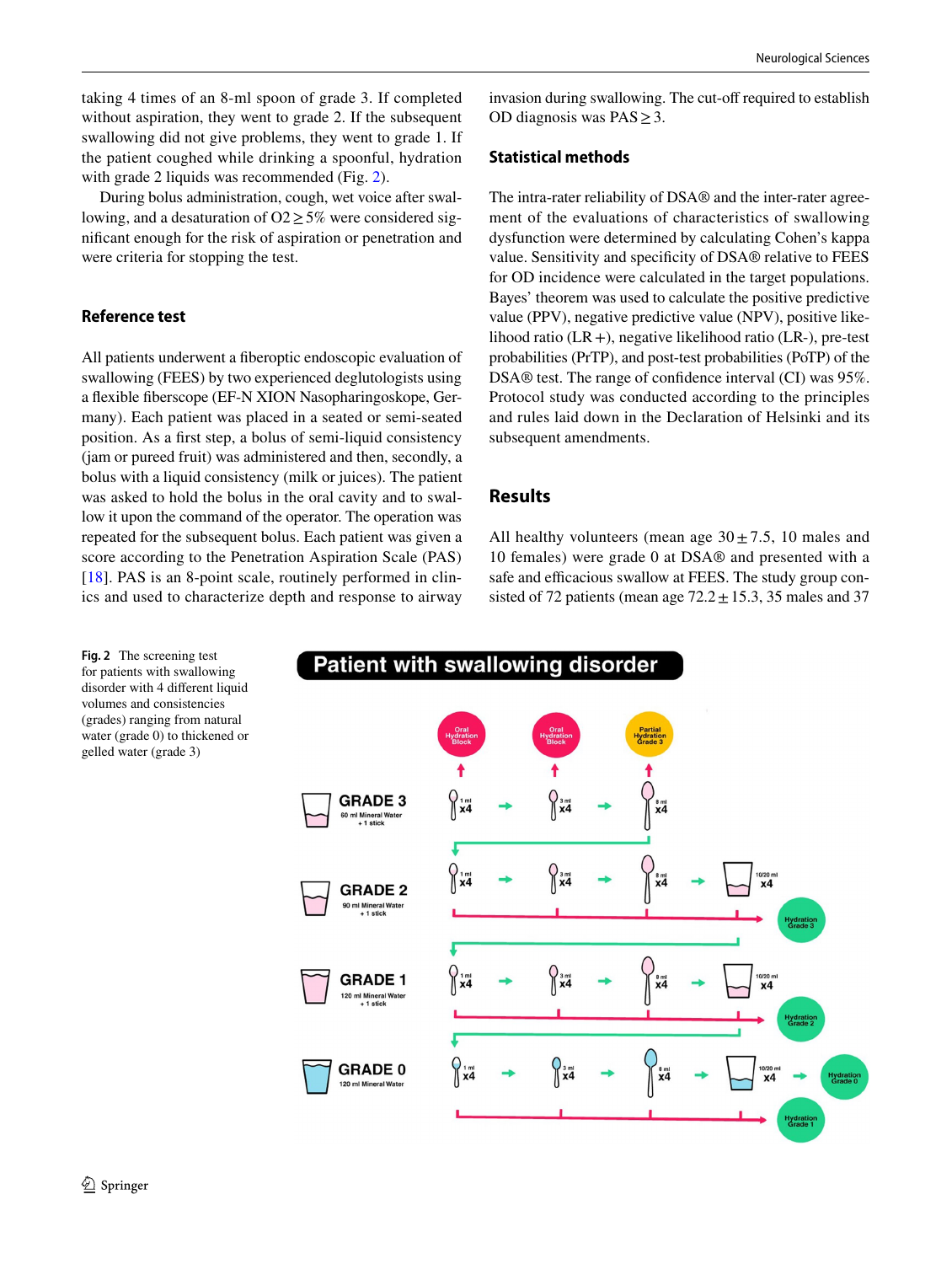taking 4 times of an 8-ml spoon of grade 3. If completed without aspiration, they went to grade 2. If the subsequent swallowing did not give problems, they went to grade 1. If the patient coughed while drinking a spoonful, hydration with grade [2](#page-3-0) liquids was recommended (Fig. 2).

During bolus administration, cough, wet voice after swallowing, and a desaturation of  $O2 \geq 5\%$  were considered signifcant enough for the risk of aspiration or penetration and were criteria for stopping the test.

#### **Reference test**

All patients underwent a fberoptic endoscopic evaluation of swallowing (FEES) by two experienced deglutologists using a fexible fberscope (EF-N XION Nasopharingoskope, Germany). Each patient was placed in a seated or semi-seated position. As a frst step, a bolus of semi-liquid consistency (jam or pureed fruit) was administered and then, secondly, a bolus with a liquid consistency (milk or juices). The patient was asked to hold the bolus in the oral cavity and to swallow it upon the command of the operator. The operation was repeated for the subsequent bolus. Each patient was given a score according to the Penetration Aspiration Scale (PAS) [\[18\]](#page-8-0). PAS is an 8-point scale, routinely performed in clinics and used to characterize depth and response to airway invasion during swallowing. The cut-off required to establish OD diagnosis was  $PAS \geq 3$ .

#### **Statistical methods**

The intra-rater reliability of DSA® and the inter-rater agreement of the evaluations of characteristics of swallowing dysfunction were determined by calculating Cohen's kappa value. Sensitivity and specifcity of DSA® relative to FEES for OD incidence were calculated in the target populations. Bayes' theorem was used to calculate the positive predictive value (PPV), negative predictive value (NPV), positive likelihood ratio  $(LR+)$ , negative likelihood ratio  $(LR-)$ , pre-test probabilities (PrTP), and post-test probabilities (PoTP) of the DSA® test. The range of confidence interval (CI) was 95%. Protocol study was conducted according to the principles and rules laid down in the Declaration of Helsinki and its subsequent amendments.

### **Results**

All healthy volunteers (mean age  $30 \pm 7.5$ , 10 males and 10 females) were grade 0 at DSA® and presented with a safe and efficacious swallow at FEES. The study group consisted of 72 patients (mean age  $72.2 \pm 15.3$ , 35 males and 37

<span id="page-3-0"></span>**Fig. 2** The screening test for patients with swallowing disorder with 4 diferent liquid volumes and consistencies (grades) ranging from natural water (grade 0) to thickened or gelled water (grade 3)

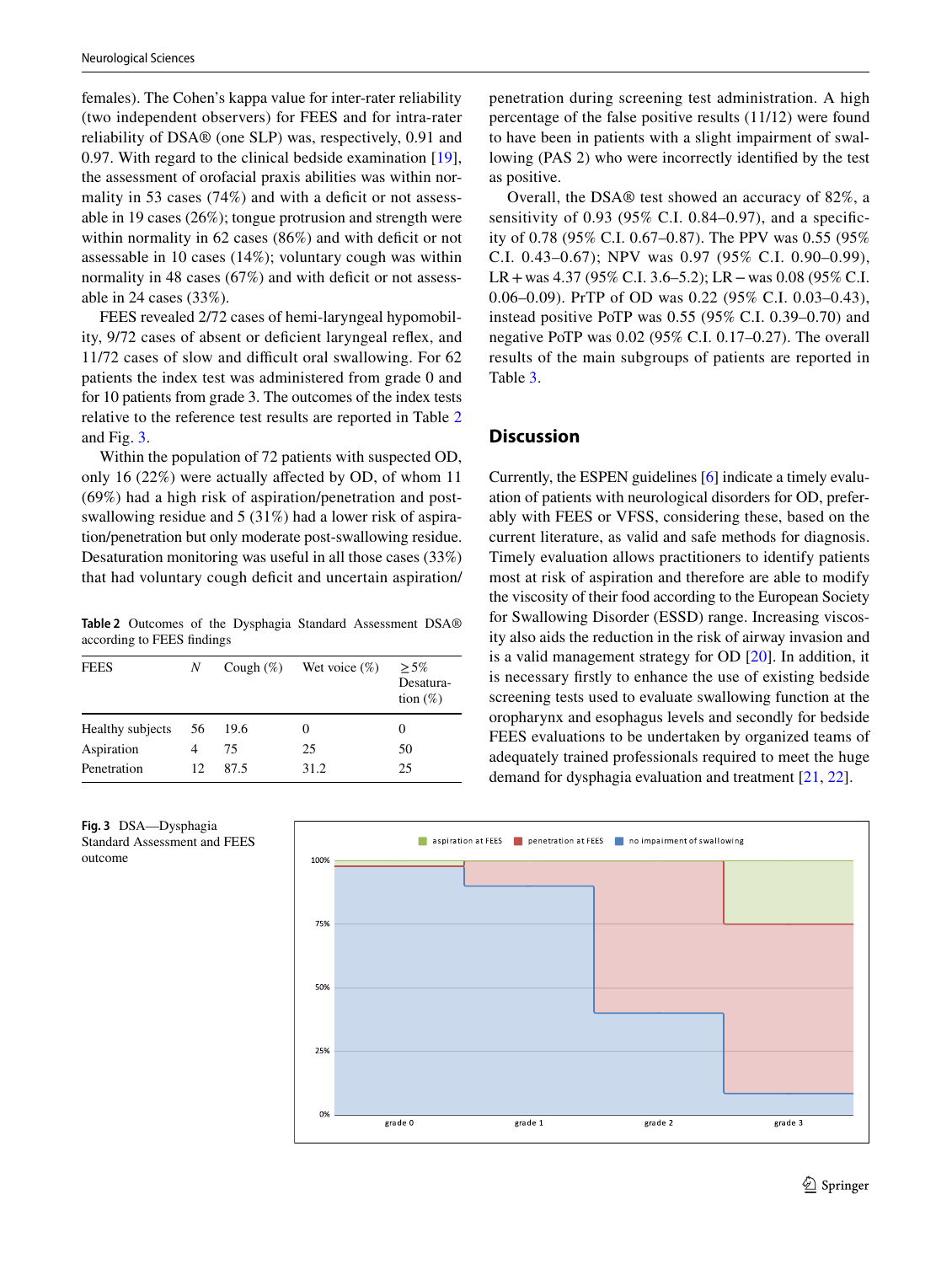females). The Cohen's kappa value for inter-rater reliability (two independent observers) for FEES and for intra-rater reliability of DSA® (one SLP) was, respectively, 0.91 and 0.97. With regard to the clinical bedside examination [\[19](#page-8-1)], the assessment of orofacial praxis abilities was within normality in 53 cases  $(74%)$  and with a deficit or not assessable in 19 cases (26%); tongue protrusion and strength were within normality in  $62$  cases  $(86%)$  and with deficit or not assessable in 10 cases (14%); voluntary cough was within normality in 48 cases  $(67%)$  and with deficit or not assessable in 24 cases (33%).

FEES revealed 2/72 cases of hemi-laryngeal hypomobility, 9/72 cases of absent or defcient laryngeal refex, and 11/72 cases of slow and difficult oral swallowing. For 62 patients the index test was administered from grade 0 and for 10 patients from grade 3. The outcomes of the index tests relative to the reference test results are reported in Table [2](#page-4-0) and Fig. [3.](#page-4-1)

Within the population of 72 patients with suspected OD, only 16 (22%) were actually afected by OD, of whom 11 (69%) had a high risk of aspiration/penetration and postswallowing residue and 5 (31%) had a lower risk of aspiration/penetration but only moderate post-swallowing residue. Desaturation monitoring was useful in all those cases (33%) that had voluntary cough defcit and uncertain aspiration/

<span id="page-4-0"></span>**Table 2** Outcomes of the Dysphagia Standard Assessment DSA® according to FEES fndings

| <b>FEES</b>      | N  | Cough $(\%)$ | Wet voice $(\%)$ | $> 5\%$<br>Desatura-<br>tion $(\%)$ |
|------------------|----|--------------|------------------|-------------------------------------|
| Healthy subjects | 56 | 19.6         | 0                | 0                                   |
| Aspiration       |    | 75           | 25               | 50                                  |
| Penetration      | 12 | 87.5         | 31.2             | 25                                  |

<span id="page-4-1"></span>



Overall, the DSA® test showed an accuracy of 82%, a sensitivity of  $0.93$  ( $95\%$  C.I.  $0.84-0.97$ ), and a specificity of 0.78 (95% C.I. 0.67–0.87). The PPV was 0.55 (95% C.I. 0.43–0.67); NPV was 0.97 (95% C.I. 0.90–0.99), LR+was 4.37 (95% C.I. 3.6–5.2); LR−was 0.08 (95% C.I. 0.06–0.09). PrTP of OD was 0.22 (95% C.I. 0.03–0.43), instead positive PoTP was 0.55 (95% C.I. 0.39–0.70) and negative PoTP was 0.02 (95% C.I. 0.17–0.27). The overall results of the main subgroups of patients are reported in Table [3](#page-5-0).

## **Discussion**

Currently, the ESPEN guidelines [[6\]](#page-7-4) indicate a timely evaluation of patients with neurological disorders for OD, preferably with FEES or VFSS, considering these, based on the current literature, as valid and safe methods for diagnosis. Timely evaluation allows practitioners to identify patients most at risk of aspiration and therefore are able to modify the viscosity of their food according to the European Society for Swallowing Disorder (ESSD) range. Increasing viscosity also aids the reduction in the risk of airway invasion and is a valid management strategy for OD [[20\]](#page-8-2). In addition, it is necessary frstly to enhance the use of existing bedside screening tests used to evaluate swallowing function at the oropharynx and esophagus levels and secondly for bedside FEES evaluations to be undertaken by organized teams of adequately trained professionals required to meet the huge demand for dysphagia evaluation and treatment [[21](#page-8-3), [22](#page-8-4)].

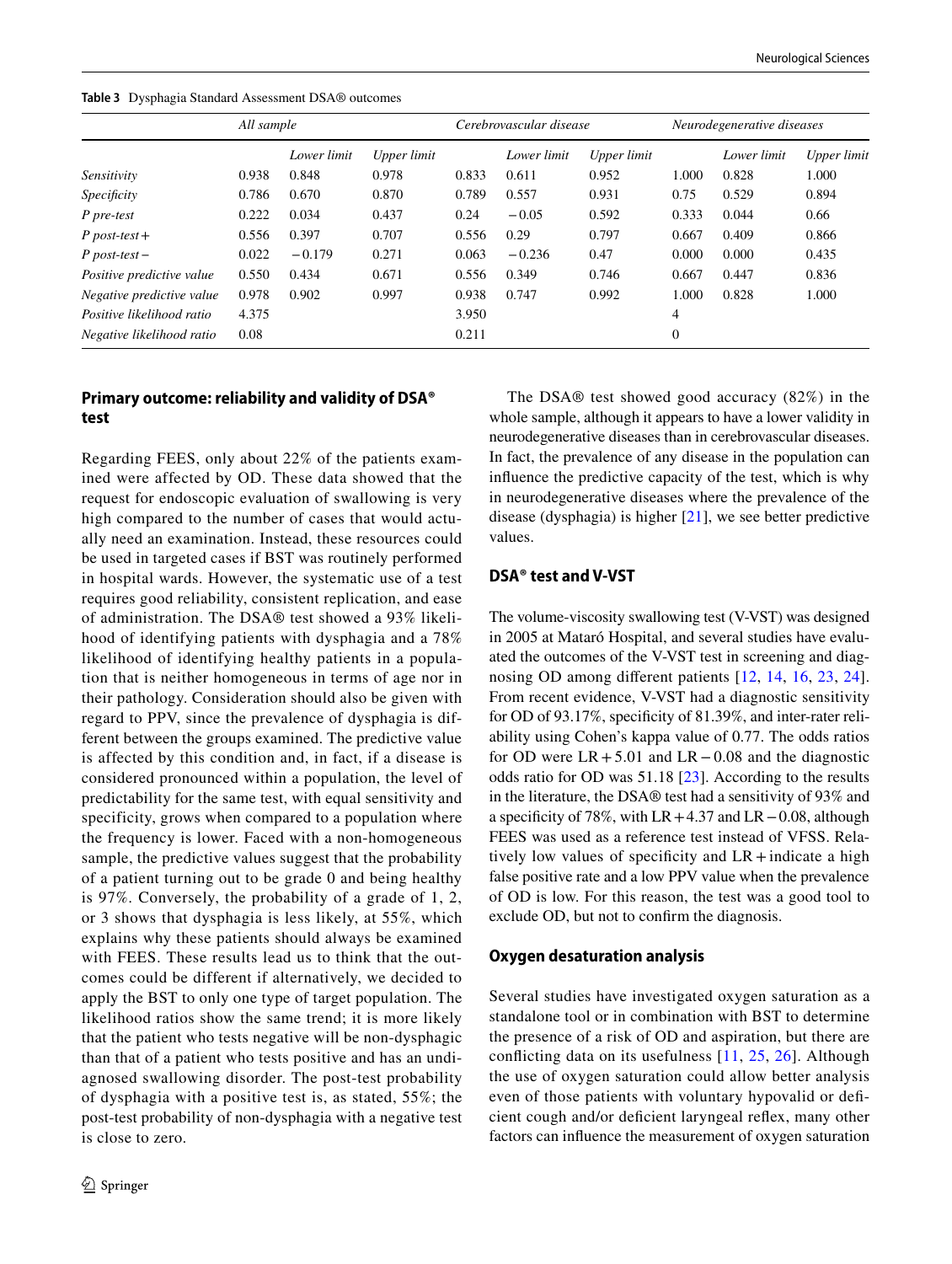<span id="page-5-0"></span>**Table 3** Dysphagia Standard Assessment DSA® outcomes

|                           | All sample |             |             | Cerebrovascular disease |             |             | Neurodegenerative diseases |             |                    |
|---------------------------|------------|-------------|-------------|-------------------------|-------------|-------------|----------------------------|-------------|--------------------|
|                           |            | Lower limit | Upper limit |                         | Lower limit | Upper limit |                            | Lower limit | <b>Upper</b> limit |
| Sensitivity               | 0.938      | 0.848       | 0.978       | 0.833                   | 0.611       | 0.952       | 1.000                      | 0.828       | 1.000              |
| Specificity               | 0.786      | 0.670       | 0.870       | 0.789                   | 0.557       | 0.931       | 0.75                       | 0.529       | 0.894              |
| P pre-test                | 0.222      | 0.034       | 0.437       | 0.24                    | $-0.05$     | 0.592       | 0.333                      | 0.044       | 0.66               |
| $P$ post-test +           | 0.556      | 0.397       | 0.707       | 0.556                   | 0.29        | 0.797       | 0.667                      | 0.409       | 0.866              |
| $P$ post-test –           | 0.022      | $-0.179$    | 0.271       | 0.063                   | $-0.236$    | 0.47        | 0.000                      | 0.000       | 0.435              |
| Positive predictive value | 0.550      | 0.434       | 0.671       | 0.556                   | 0.349       | 0.746       | 0.667                      | 0.447       | 0.836              |
| Negative predictive value | 0.978      | 0.902       | 0.997       | 0.938                   | 0.747       | 0.992       | 1.000                      | 0.828       | 1.000              |
| Positive likelihood ratio | 4.375      |             |             | 3.950                   |             |             | 4                          |             |                    |
| Negative likelihood ratio | 0.08       |             |             | 0.211                   |             |             | $\overline{0}$             |             |                    |

### **Primary outcome: reliability and validity of DSA® test**

Regarding FEES, only about 22% of the patients examined were affected by OD. These data showed that the request for endoscopic evaluation of swallowing is very high compared to the number of cases that would actually need an examination. Instead, these resources could be used in targeted cases if BST was routinely performed in hospital wards. However, the systematic use of a test requires good reliability, consistent replication, and ease of administration. The DSA® test showed a 93% likelihood of identifying patients with dysphagia and a 78% likelihood of identifying healthy patients in a population that is neither homogeneous in terms of age nor in their pathology. Consideration should also be given with regard to PPV, since the prevalence of dysphagia is different between the groups examined. The predictive value is affected by this condition and, in fact, if a disease is considered pronounced within a population, the level of predictability for the same test, with equal sensitivity and specificity, grows when compared to a population where the frequency is lower. Faced with a non-homogeneous sample, the predictive values suggest that the probability of a patient turning out to be grade 0 and being healthy is 97%. Conversely, the probability of a grade of 1, 2, or 3 shows that dysphagia is less likely, at 55%, which explains why these patients should always be examined with FEES. These results lead us to think that the outcomes could be different if alternatively, we decided to apply the BST to only one type of target population. The likelihood ratios show the same trend; it is more likely that the patient who tests negative will be non-dysphagic than that of a patient who tests positive and has an undiagnosed swallowing disorder. The post-test probability of dysphagia with a positive test is, as stated, 55%; the post-test probability of non-dysphagia with a negative test is close to zero.

The DSA® test showed good accuracy (82%) in the whole sample, although it appears to have a lower validity in neurodegenerative diseases than in cerebrovascular diseases. In fact, the prevalence of any disease in the population can infuence the predictive capacity of the test, which is why in neurodegenerative diseases where the prevalence of the disease (dysphagia) is higher [[21\]](#page-8-3), we see better predictive values.

### **DSA® test and V‑VST**

The volume-viscosity swallowing test (V-VST) was designed in 2005 at Mataró Hospital, and several studies have evaluated the outcomes of the V-VST test in screening and diagnosing OD among diferent patients [\[12,](#page-7-10) [14,](#page-7-13) [16,](#page-7-11) [23](#page-8-5), [24](#page-8-6)]. From recent evidence, V-VST had a diagnostic sensitivity for OD of 93.17%, specificity of 81.39%, and inter-rater reliability using Cohen's kappa value of 0.77. The odds ratios for OD were  $LR + 5.01$  and  $LR - 0.08$  and the diagnostic odds ratio for OD was 51.18 [[23](#page-8-5)]. According to the results in the literature, the DSA® test had a sensitivity of 93% and a specifcity of 78%, with LR+4.37 and LR−0.08, although FEES was used as a reference test instead of VFSS. Relatively low values of specificity and  $LR +$ indicate a high false positive rate and a low PPV value when the prevalence of OD is low. For this reason, the test was a good tool to exclude OD, but not to confrm the diagnosis.

#### **Oxygen desaturation analysis**

Several studies have investigated oxygen saturation as a standalone tool or in combination with BST to determine the presence of a risk of OD and aspiration, but there are conficting data on its usefulness [\[11,](#page-7-9) [25](#page-8-7), [26](#page-8-8)]. Although the use of oxygen saturation could allow better analysis even of those patients with voluntary hypovalid or defcient cough and/or defcient laryngeal refex, many other factors can infuence the measurement of oxygen saturation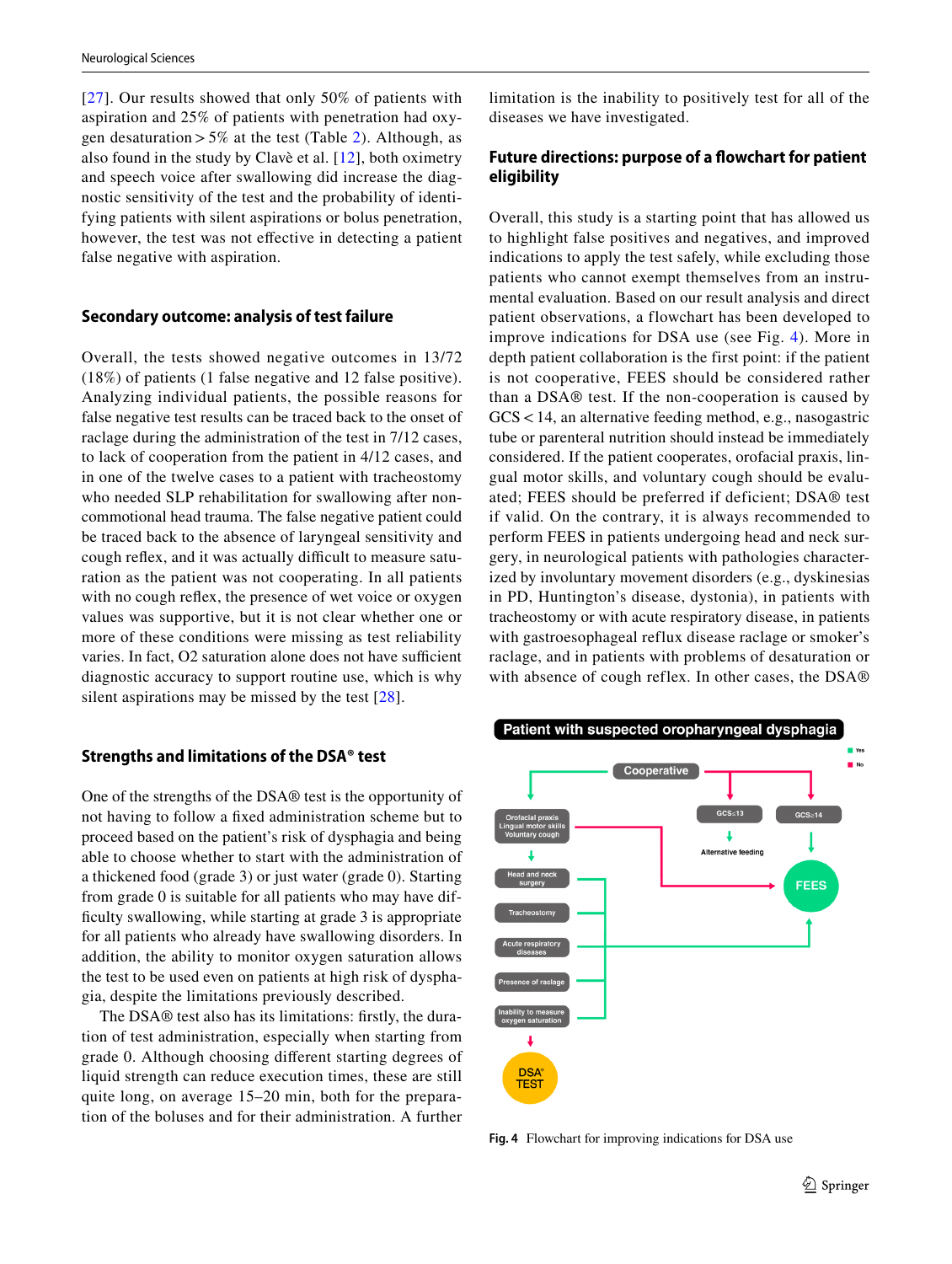[[27](#page-8-9)]. Our results showed that only 50% of patients with aspiration and 25% of patients with penetration had oxygen desaturation  $> 5\%$  at the test (Table [2\)](#page-4-0). Although, as also found in the study by Clavè et al. [[12](#page-7-10)], both oximetry and speech voice after swallowing did increase the diagnostic sensitivity of the test and the probability of identifying patients with silent aspirations or bolus penetration, however, the test was not effective in detecting a patient false negative with aspiration.

#### **Secondary outcome: analysis of test failure**

Overall, the tests showed negative outcomes in 13/72 (18%) of patients (1 false negative and 12 false positive). Analyzing individual patients, the possible reasons for false negative test results can be traced back to the onset of raclage during the administration of the test in 7/12 cases, to lack of cooperation from the patient in 4/12 cases, and in one of the twelve cases to a patient with tracheostomy who needed SLP rehabilitation for swallowing after noncommotional head trauma. The false negative patient could be traced back to the absence of laryngeal sensitivity and cough reflex, and it was actually difficult to measure saturation as the patient was not cooperating. In all patients with no cough reflex, the presence of wet voice or oxygen values was supportive, but it is not clear whether one or more of these conditions were missing as test reliability varies. In fact, O2 saturation alone does not have sufficient diagnostic accuracy to support routine use, which is why silent aspirations may be missed by the test [[28\]](#page-8-10).

#### **Strengths and limitations of the DSA® test**

One of the strengths of the DSA® test is the opportunity of not having to follow a fxed administration scheme but to proceed based on the patient's risk of dysphagia and being able to choose whether to start with the administration of a thickened food (grade 3) or just water (grade 0). Starting from grade 0 is suitable for all patients who may have diffculty swallowing, while starting at grade 3 is appropriate for all patients who already have swallowing disorders. In addition, the ability to monitor oxygen saturation allows the test to be used even on patients at high risk of dysphagia, despite the limitations previously described.

The DSA® test also has its limitations: frstly, the duration of test administration, especially when starting from grade 0. Although choosing diferent starting degrees of liquid strength can reduce execution times, these are still quite long, on average 15–20 min, both for the preparation of the boluses and for their administration. A further limitation is the inability to positively test for all of the diseases we have investigated.

### **Future directions: purpose of a fowchart for patient eligibility**

Overall, this study is a starting point that has allowed us to highlight false positives and negatives, and improved indications to apply the test safely, while excluding those patients who cannot exempt themselves from an instrumental evaluation. Based on our result analysis and direct patient observations, a flowchart has been developed to improve indications for DSA use (see Fig. [4\)](#page-6-0). More in depth patient collaboration is the first point: if the patient is not cooperative, FEES should be considered rather than a DSA® test. If the non-cooperation is caused by GCS<14, an alternative feeding method, e.g., nasogastric tube or parenteral nutrition should instead be immediately considered. If the patient cooperates, orofacial praxis, lingual motor skills, and voluntary cough should be evaluated; FEES should be preferred if deficient; DSA® test if valid. On the contrary, it is always recommended to perform FEES in patients undergoing head and neck surgery, in neurological patients with pathologies characterized by involuntary movement disorders (e.g., dyskinesias in PD, Huntington's disease, dystonia), in patients with tracheostomy or with acute respiratory disease, in patients with gastroesophageal reflux disease raclage or smoker's raclage, and in patients with problems of desaturation or with absence of cough reflex. In other cases, the DSA®



<span id="page-6-0"></span>**Fig. 4** Flowchart for improving indications for DSA use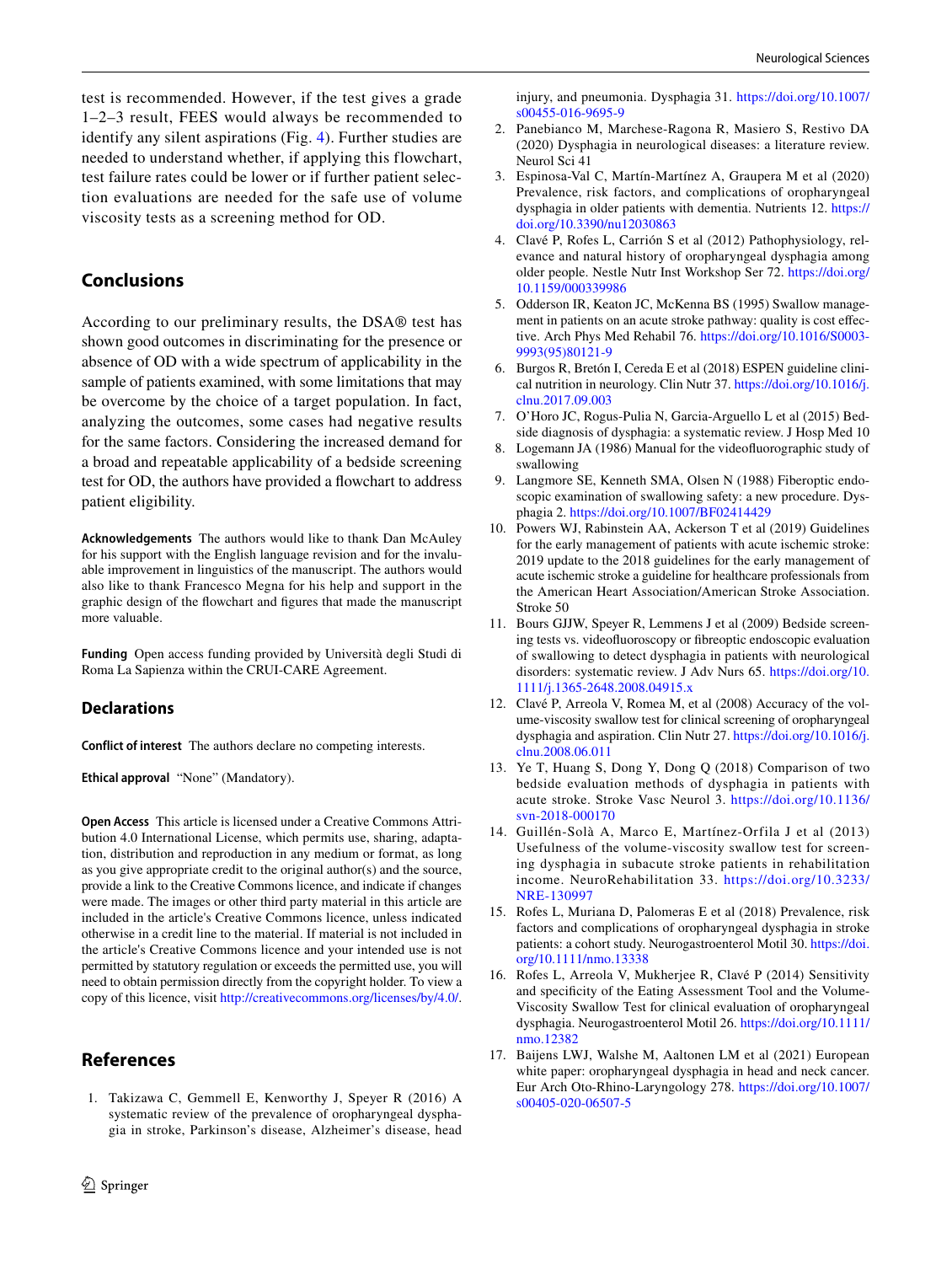test is recommended. However, if the test gives a grade 1–2–3 result, FEES would always be recommended to identify any silent aspirations (Fig. [4](#page-6-0)). Further studies are needed to understand whether, if applying this flowchart, test failure rates could be lower or if further patient selection evaluations are needed for the safe use of volume viscosity tests as a screening method for OD.

### **Conclusions**

According to our preliminary results, the DSA® test has shown good outcomes in discriminating for the presence or absence of OD with a wide spectrum of applicability in the sample of patients examined, with some limitations that may be overcome by the choice of a target population. In fact, analyzing the outcomes, some cases had negative results for the same factors. Considering the increased demand for a broad and repeatable applicability of a bedside screening test for OD, the authors have provided a fowchart to address patient eligibility.

**Acknowledgements** The authors would like to thank Dan McAuley for his support with the English language revision and for the invaluable improvement in linguistics of the manuscript. The authors would also like to thank Francesco Megna for his help and support in the graphic design of the fowchart and fgures that made the manuscript more valuable.

**Funding** Open access funding provided by Università degli Studi di Roma La Sapienza within the CRUI-CARE Agreement.

### **Declarations**

**Conflict of interest** The authors declare no competing interests.

**Ethical approval** "None" (Mandatory).

**Open Access** This article is licensed under a Creative Commons Attribution 4.0 International License, which permits use, sharing, adaptation, distribution and reproduction in any medium or format, as long as you give appropriate credit to the original author(s) and the source, provide a link to the Creative Commons licence, and indicate if changes were made. The images or other third party material in this article are included in the article's Creative Commons licence, unless indicated otherwise in a credit line to the material. If material is not included in the article's Creative Commons licence and your intended use is not permitted by statutory regulation or exceeds the permitted use, you will need to obtain permission directly from the copyright holder. To view a copy of this licence, visit <http://creativecommons.org/licenses/by/4.0/>.

### **References**

<span id="page-7-0"></span>1. Takizawa C, Gemmell E, Kenworthy J, Speyer R (2016) A systematic review of the prevalence of oropharyngeal dysphagia in stroke, Parkinson's disease, Alzheimer's disease, head injury, and pneumonia. Dysphagia 31. [https://doi.org/10.1007/](https://doi.org/10.1007/s00455-016-9695-9) [s00455-016-9695-9](https://doi.org/10.1007/s00455-016-9695-9)

- <span id="page-7-1"></span>2. Panebianco M, Marchese-Ragona R, Masiero S, Restivo DA (2020) Dysphagia in neurological diseases: a literature review. Neurol Sci 41
- 3. Espinosa-Val C, Martín-Martínez A, Graupera M et al (2020) Prevalence, risk factors, and complications of oropharyngeal dysphagia in older patients with dementia. Nutrients 12. [https://](https://doi.org/10.3390/nu12030863) [doi.org/10.3390/nu12030863](https://doi.org/10.3390/nu12030863)
- <span id="page-7-2"></span>4. Clavé P, Rofes L, Carrión S et al (2012) Pathophysiology, relevance and natural history of oropharyngeal dysphagia among older people. Nestle Nutr Inst Workshop Ser 72. [https://doi.org/](https://doi.org/10.1159/000339986) [10.1159/000339986](https://doi.org/10.1159/000339986)
- <span id="page-7-3"></span>5. Odderson IR, Keaton JC, McKenna BS (1995) Swallow management in patients on an acute stroke pathway: quality is cost efective. Arch Phys Med Rehabil 76. [https://doi.org/10.1016/S0003-](https://doi.org/10.1016/S0003-9993(95)80121-9) [9993\(95\)80121-9](https://doi.org/10.1016/S0003-9993(95)80121-9)
- <span id="page-7-4"></span>6. Burgos R, Bretón I, Cereda E et al (2018) ESPEN guideline clinical nutrition in neurology. Clin Nutr 37. [https://doi.org/10.1016/j.](https://doi.org/10.1016/j.clnu.2017.09.003) [clnu.2017.09.003](https://doi.org/10.1016/j.clnu.2017.09.003)
- <span id="page-7-5"></span>7. O'Horo JC, Rogus-Pulia N, Garcia-Arguello L et al (2015) Bedside diagnosis of dysphagia: a systematic review. J Hosp Med 10
- <span id="page-7-6"></span>8. Logemann JA (1986) Manual for the videofuorographic study of swallowing
- <span id="page-7-7"></span>9. Langmore SE, Kenneth SMA, Olsen N (1988) Fiberoptic endoscopic examination of swallowing safety: a new procedure. Dysphagia 2. <https://doi.org/10.1007/BF02414429>
- <span id="page-7-8"></span>10. Powers WJ, Rabinstein AA, Ackerson T et al (2019) Guidelines for the early management of patients with acute ischemic stroke: 2019 update to the 2018 guidelines for the early management of acute ischemic stroke a guideline for healthcare professionals from the American Heart Association/American Stroke Association. Stroke 50
- <span id="page-7-9"></span>11. Bours GJJW, Speyer R, Lemmens J et al (2009) Bedside screening tests vs. videofuoroscopy or fbreoptic endoscopic evaluation of swallowing to detect dysphagia in patients with neurological disorders: systematic review. J Adv Nurs 65. [https://doi.org/10.](https://doi.org/10.1111/j.1365-2648.2008.04915.x) [1111/j.1365-2648.2008.04915.x](https://doi.org/10.1111/j.1365-2648.2008.04915.x)
- <span id="page-7-10"></span>12. Clavé P, Arreola V, Romea M, et al (2008) Accuracy of the volume-viscosity swallow test for clinical screening of oropharyngeal dysphagia and aspiration. Clin Nutr 27. [https://doi.org/10.1016/j.](https://doi.org/10.1016/j.clnu.2008.06.011) [clnu.2008.06.011](https://doi.org/10.1016/j.clnu.2008.06.011)
- 13. Ye T, Huang S, Dong Y, Dong Q (2018) Comparison of two bedside evaluation methods of dysphagia in patients with acute stroke. Stroke Vasc Neurol 3. [https://doi.org/10.1136/](https://doi.org/10.1136/svn-2018-000170) [svn-2018-000170](https://doi.org/10.1136/svn-2018-000170)
- <span id="page-7-13"></span>14. Guillén-Solà A, Marco E, Martínez-Orfila J et al (2013) Usefulness of the volume-viscosity swallow test for screening dysphagia in subacute stroke patients in rehabilitation income. NeuroRehabilitation 33. [https://doi.org/10.3233/](https://doi.org/10.3233/NRE-130997) [NRE-130997](https://doi.org/10.3233/NRE-130997)
- 15. Rofes L, Muriana D, Palomeras E et al (2018) Prevalence, risk factors and complications of oropharyngeal dysphagia in stroke patients: a cohort study. Neurogastroenterol Motil 30. [https://doi.](https://doi.org/10.1111/nmo.13338) [org/10.1111/nmo.13338](https://doi.org/10.1111/nmo.13338)
- <span id="page-7-11"></span>16. Rofes L, Arreola V, Mukherjee R, Clavé P (2014) Sensitivity and specifcity of the Eating Assessment Tool and the Volume-Viscosity Swallow Test for clinical evaluation of oropharyngeal dysphagia. Neurogastroenterol Motil 26. [https://doi.org/10.1111/](https://doi.org/10.1111/nmo.12382) [nmo.12382](https://doi.org/10.1111/nmo.12382)
- <span id="page-7-12"></span>17. Baijens LWJ, Walshe M, Aaltonen LM et al (2021) European white paper: oropharyngeal dysphagia in head and neck cancer. Eur Arch Oto-Rhino-Laryngology 278. [https://doi.org/10.1007/](https://doi.org/10.1007/s00405-020-06507-5) [s00405-020-06507-5](https://doi.org/10.1007/s00405-020-06507-5)